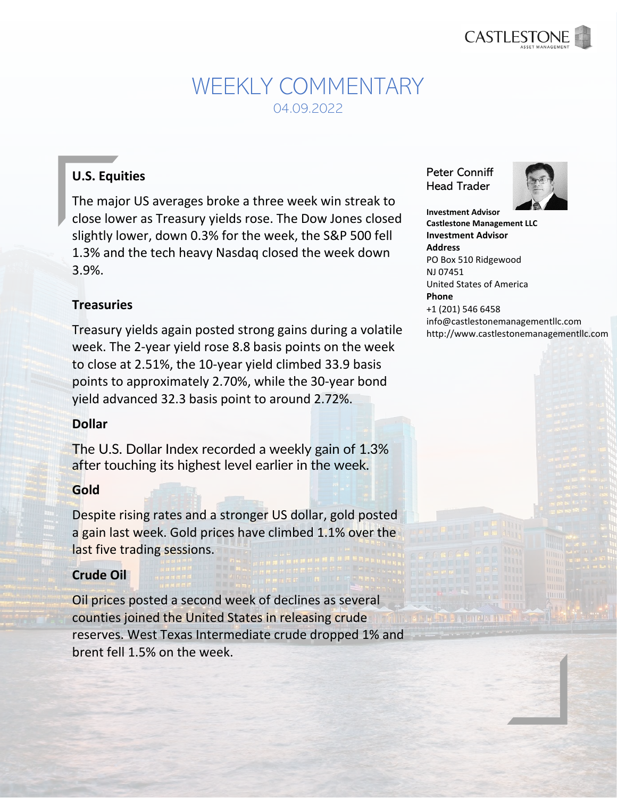

# WEEKLY COMMENTARY 04.09.2022

## **U.S. Equities**

The major US averages broke a three week win streak to close lower as Treasury yields rose. The Dow Jones closed slightly lower, down 0.3% for the week, the S&P 500 fell 1.3% and the tech heavy Nasdaq closed the week down 3.9%.

#### **Treasuries**

Treasury yields again posted strong gains during a volatile week. The 2-year yield rose 8.8 basis points on the week to close at 2.51%, the 10-year yield climbed 33.9 basis points to approximately 2.70%, while the 30-year bond yield advanced 32.3 basis point to around 2.72%.

### **Dollar**

The U.S. Dollar Index recorded a weekly gain of 1.3% after touching its highest level earlier in the week.

### **Gold**

Despite rising rates and a stronger US dollar, gold posted a gain last week. Gold prices have climbed 1.1% over the last five trading sessions.

### **Crude Oil**

Oil prices posted a second week of declines as several counties joined the United States in releasing crude reserves. West Texas Intermediate crude dropped 1% and brent fell 1.5% on the week.

Peter Conniff Head Trader



**Investment Advisor Castlestone Management LLC Investment Advisor Address** PO Box 510 Ridgewood NJ 07451 United States of America **Phone** +1 (201) 546 6458 [info@castlestonemanagementllc.com](mailto:info@castlestonemanagementllc.com) [http://www.castlestonemanagementllc.com](http://www.castlestonemanagementllc.com/)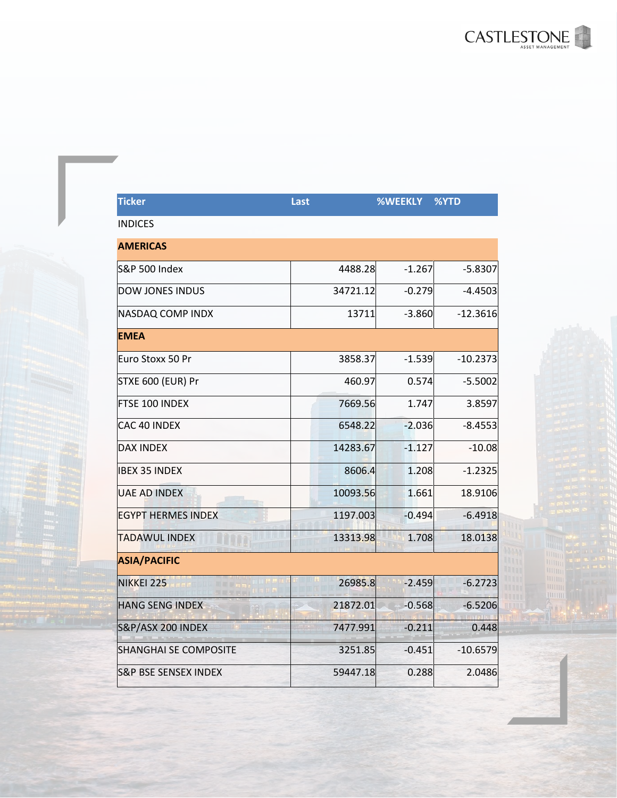

| <b>Ticker</b>                   | Last     | <b>%WEEKLY</b> | %YTD       |
|---------------------------------|----------|----------------|------------|
| <b>INDICES</b>                  |          |                |            |
| <b>AMERICAS</b>                 |          |                |            |
| <b>S&amp;P 500 Index</b>        | 4488.28  | $-1.267$       | $-5.8307$  |
| <b>DOW JONES INDUS</b>          | 34721.12 | $-0.279$       | $-4.4503$  |
| NASDAQ COMP INDX                | 13711    | $-3.860$       | $-12.3616$ |
| <b>EMEA</b>                     |          |                |            |
| Euro Stoxx 50 Pr                | 3858.37  | $-1.539$       | $-10.2373$ |
| <b>STXE 600 (EUR) Pr</b>        | 460.97   | 0.574          | $-5.5002$  |
| FTSE 100 INDEX                  | 7669.56  | 1.747          | 3.8597     |
| CAC 40 INDEX                    | 6548.22  | $-2.036$       | $-8.4553$  |
| <b>DAX INDEX</b>                | 14283.67 | $-1.127$       | $-10.08$   |
| <b>IBEX 35 INDEX</b>            | 8606.4   | 1.208          | $-1.2325$  |
| <b>UAE AD INDEX</b>             | 10093.56 | 1.661          | 18.9106    |
| <b>EGYPT HERMES INDEX</b>       | 1197.003 | $-0.494$       | $-6.4918$  |
| <b>TADAWUL INDEX</b>            | 13313.98 | 1.708          | 18.0138    |
| <b>ASIA/PACIFIC</b>             |          |                |            |
| NIKKEI 225                      | 26985.8  | $-2.459$       | $-6.2723$  |
| <b>HANG SENG INDEX</b>          | 21872.01 | $-0.568$       | $-6.5206$  |
| S&P/ASX 200 INDEX               | 7477.991 | $-0.211$       | 0.448      |
| <b>SHANGHAI SE COMPOSITE</b>    | 3251.85  | $-0.451$       | $-10.6579$ |
| <b>S&amp;P BSE SENSEX INDEX</b> | 59447.18 | 0.288          | 2.0486     |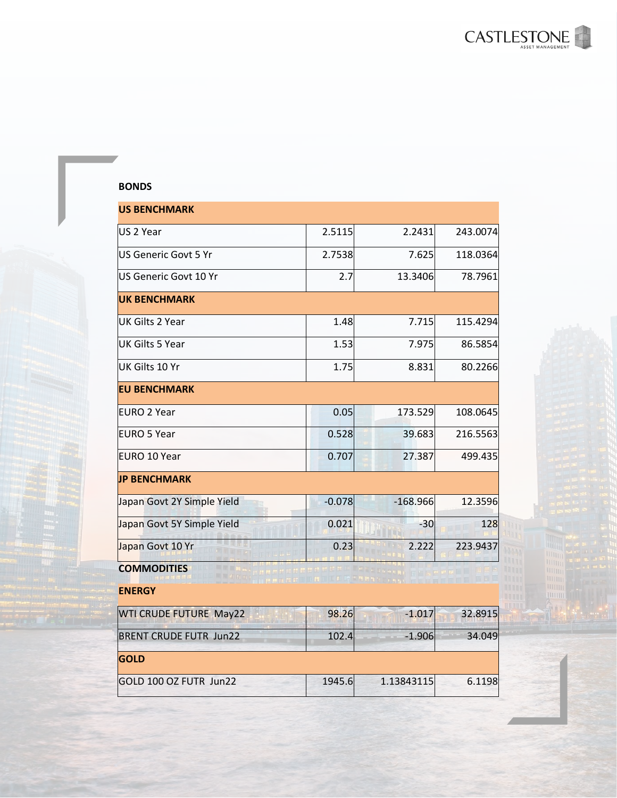

道 mill

#### **BONDS**

| <b>US BENCHMARK</b>        |          |            |          |
|----------------------------|----------|------------|----------|
| US 2 Year                  | 2.5115   | 2.2431     | 243.0074 |
| US Generic Govt 5 Yr       | 2.7538   | 7.625      | 118.0364 |
| US Generic Govt 10 Yr      | 2.7      | 13.3406    | 78.7961  |
| <b>UK BENCHMARK</b>        |          |            |          |
| UK Gilts 2 Year            | 1.48     | 7.715      | 115.4294 |
| <b>UK Gilts 5 Year</b>     | 1.53     | 7.975      | 86.5854  |
| UK Gilts 10 Yr             | 1.75     | 8.831      | 80.2266  |
| <b>EU BENCHMARK</b>        |          |            |          |
| <b>EURO 2 Year</b>         | 0.05     | 173.529    | 108.0645 |
| lEURO 5 Year               | 0.528    | 39.683     | 216.5563 |
| <b>EURO 10 Year</b>        | 0.707    | 27.387     | 499.435  |
| <b>JP BENCHMARK</b>        |          |            |          |
| Japan Govt 2Y Simple Yield | $-0.078$ | $-168.966$ | 12.3596  |
| Japan Govt 5Y Simple Yield | 0.021    | $-30$      | 128      |
| Japan Govt 10 Yr           | 0.23     | 2.222      | 223.9437 |
| <b>COMMODITIES</b>         |          |            |          |

|  |  |  |  |  | <b>ENERGY</b> |  |  |
|--|--|--|--|--|---------------|--|--|
|--|--|--|--|--|---------------|--|--|

| <b>WTI CRUDE FUTURE May22</b> | 98.26  | $-1.017$   | 32.8915 |
|-------------------------------|--------|------------|---------|
| <b>BRENT CRUDE FUTR Jun22</b> | 102.4  | $-1.906$   | 34.049  |
| <b>GOLD</b>                   |        |            |         |
| GOLD 100 OZ FUTR Jun22        | 1945.6 | 1.13843115 | 6.1198  |